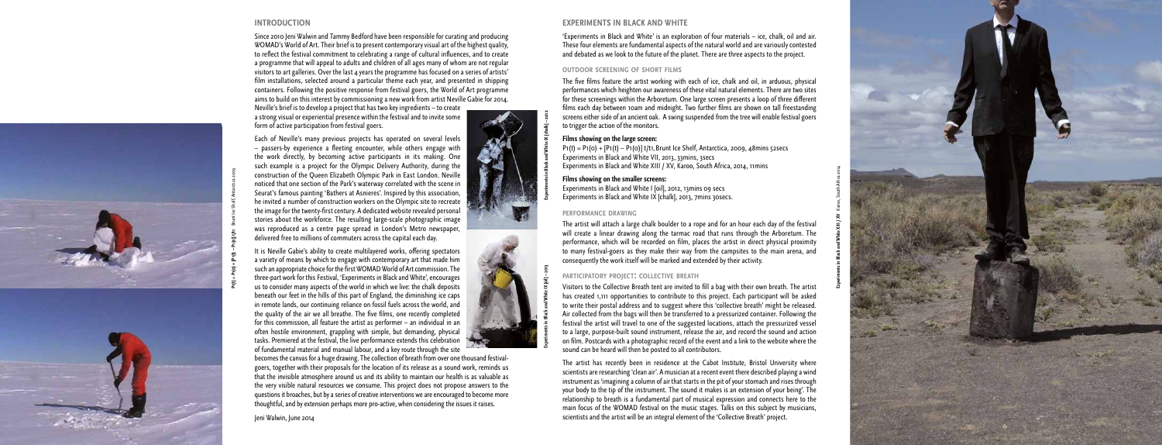

# **INTRODUCTION**

Since 2010 Jeni Walwin and Tammy Bedford have been responsible for curating and producing WOMAD's World of Art. Their brief is to present contemporary visual art of the highest quality, to reflect the festival commitment to celebrating a range of cultural influences, and to create a programme that will appeal to adults and children of all ages many of whom are not regular visitors to art galleries. Over the last 4 years the programme has focused on a series of artists' film installations, selected around a particular theme each year, and presented in shipping containers. Following the positive response from festival goers, the World of Art programme aims to build on this interest by commissioning a new work from artist Neville Gabie for 2014.

Neville's brief is to develop a project that has two key ingredients – to create a strong visual or experiential presence within the festival and to invite some form of active participation from festival goers.

Each of Neville's many previous projects has operated on several levels – passers-by experience a fleeting encounter, while others engage with the work directly, by becoming active participants in its making. One such example is a project for the Olympic Delivery Authority, during the construction of the Queen Elizabeth Olympic Park in East London. Neville noticed that one section of the Park's waterway correlated with the scene in Seurat's famous painting 'Bathers at Asnieres'. Inspired by this association, he invited a number of construction workers on the Olympic site to recreate the image for the twenty-first century. A dedicated website revealed personal stories about the workforce. The resulting large-scale photographic image was reproduced as a centre page spread in London's Metro newspaper, delivered free to millions of commuters across the capital each day.

'Experiments in Black and White' is an exploration of four materials – ice, chalk, oil and air. These four elements are fundamental aspects of the natural world and are variously contested and debated as we look to the future of the planet. There are three aspects to the project.

It is Neville Gabie's ability to create multilayered works, offering spectators a variety of means by which to engage with contemporary art that made him such an appropriate choice for the first WOMAD World of Art commission. The three-part work for this Festival, 'Experiments in Black and White', encourages us to consider many aspects of the world in which we live: the chalk deposits beneath our feet in the hills of this part of England, the diminishing ice caps in remote lands, our continuing reliance on fossil fuels across the world, and the quality of the air we all breathe. The five films, one recently completed for this commission, all feature the artist as performer – an individual in an often hostile environment, grappling with simple, but demanding, physical tasks. Premiered at the festival, the live performance extends this celebration of fundamental material and manual labour, and a key route through the site

becomes the canvas for a huge drawing. The collection of breath from over one thousand festivalgoers, together with their proposals for the location of its release as a sound work, reminds us that the invisible atmosphere around us and its ability to maintain our health is as valuable as the very visible natural resources we consume. This project does not propose answers to the questions it broaches, but by a series of creative interventions we are encouraged to become more thoughtful, and by extension perhaps more pro-active, when considering the issues it raises.

Jeni Walwin, June 2014

# **EXPERIMENTS IN BLACK AND WHITE**

# **outdoor screening of short films**

The five films feature the artist working with each of ice, chalk and oil, in arduous, physical performances which heighten our awareness of these vital natural elements. There are two sites for these screenings within the Arboretum. One large screen presents a loop of three different films each day between 10am and midnight. Two further films are shown on tall freestanding screens either side of an ancient oak. A swing suspended from the tree will enable festival goers to trigger the action of the monitors.

# **Films showing on the large screen:**

P1(t) = P1(0) + [P1(t) – P1(0)] t/t1**,** Brunt Ice Shelf, Antarctica, 2009, 48mins 52secs Experiments in Black and White VII, 2013, 33mins, 3secs Experiments in Black and White XIII / XV, Karoo, South Africa, 2014, 11mins

**Films showing on the smaller screens:** Experiments in Black and White I [oil], 2012, 13mins 09 secs Experiments in Black and White IX [chalk], 2013, 7mins 30secs.

# **performance drawing**

The artist will attach a large chalk boulder to a rope and for an hour each day of the festival will create a linear drawing along the tarmac road that runs through the Arboretum. The performance, which will be recorded on film, places the artist in direct physical proximity to many festival-goers as they make their way from the campsites to the main arena, and consequently the work itself will be marked and extended by their activity.

# **participatory project: collective breath**

Visitors to the Collective Breath tent are invited to fill a bag with their own breath. The artist has created 1,111 opportunities to contribute to this project. Each participant will be asked to write their postal address and to suggest where this 'collective breath' might be released. Air collected from the bags will then be transferred to a pressurized container. Following the festival the artist will travel to one of the suggested locations, attach the pressurized vessel to a large, purpose-built sound instrument, release the air, and record the sound and action on film. Postcards with a photographic record of the event and a link to the website where the sound can be heard will then be posted to all contributors.

The artist has recently been in residence at the Cabot Institute, Bristol University where scientists are researching 'clean air'. A musician at a recent event there described playing a wind instrument as 'imagining a column of air that starts in the pit of your stomach and rises through your body to the tip of the instrument. The sound it makes is an extension of your being'. The relationship to breath is a fundamental part of musical expression and connects here to the main focus of the WOMAD festival on the music stages. Talks on this subject by musicians, scientists and the artist will be an integral element of the 'Collective Breath' project.

**P1(t) = P1(0) + [P1(t) – P1(0)] t/t1** Brunt Ice Shelf, Antarctica 2009